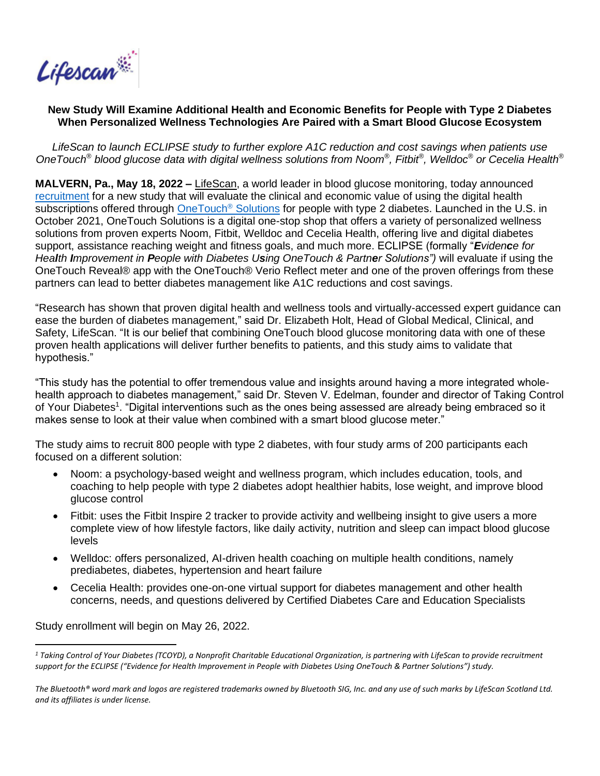

## **New Study Will Examine Additional Health and Economic Benefits for People with Type 2 Diabetes When Personalized Wellness Technologies Are Paired with a Smart Blood Glucose Ecosystem**

*LifeScan to launch ECLIPSE study to further explore A1C reduction and cost savings when patients use OneTouch® blood glucose data with digital wellness solutions from Noom® , Fitbit® , Welldoc® or Cecelia Health®*

**MALVERN, Pa., May 18, 2022 –** [LifeScan,](https://www.lifescan.com/) a world leader in blood glucose monitoring, today announced [recruitment](https://clinicaltrials.gov/ct2/show/NCT05354297?term=ECLIPSE&draw=2&rank=3) for a new study that will evaluate the clinical and economic value of using the digital health subscriptions offered through [OneTouch](https://shop.onetouch.com/)<sup>®</sup> Solutions for people with type 2 diabetes. Launched in the U.S. in October 2021, OneTouch Solutions is a digital one-stop shop that offers a variety of personalized wellness solutions from proven experts Noom, Fitbit, Welldoc and Cecelia Health, offering live and digital diabetes support, assistance reaching weight and fitness goals, and much more. ECLIPSE (formally "*Evidence for Health Improvement in People with Diabetes Using OneTouch & Partner Solutions")* will evaluate if using the OneTouch Reveal® app with the OneTouch® Verio Reflect meter and one of the proven offerings from these partners can lead to better diabetes management like A1C reductions and cost savings.

"Research has shown that proven digital health and wellness tools and virtually-accessed expert guidance can ease the burden of diabetes management," said Dr. Elizabeth Holt, Head of Global Medical, Clinical, and Safety, LifeScan. "It is our belief that combining OneTouch blood glucose monitoring data with one of these proven health applications will deliver further benefits to patients, and this study aims to validate that hypothesis."

"This study has the potential to offer tremendous value and insights around having a more integrated wholehealth approach to diabetes management," said Dr. Steven V. Edelman, founder and director of Taking Control of Your Diabetes<sup>1</sup>. "Digital interventions such as the ones being assessed are already being embraced so it makes sense to look at their value when combined with a smart blood glucose meter."

The study aims to recruit 800 people with type 2 diabetes, with four study arms of 200 participants each focused on a different solution:

- Noom: a psychology-based weight and wellness program, which includes education, tools, and coaching to help people with type 2 diabetes adopt healthier habits, lose weight, and improve blood glucose control
- Fitbit: uses the Fitbit Inspire 2 tracker to provide activity and wellbeing insight to give users a more complete view of how lifestyle factors, like daily activity, nutrition and sleep can impact blood glucose levels
- Welldoc: offers personalized, AI-driven health coaching on multiple health conditions, namely prediabetes, diabetes, hypertension and heart failure
- Cecelia Health: provides one-on-one virtual support for diabetes management and other health concerns, needs, and questions delivered by Certified Diabetes Care and Education Specialists

Study enrollment will begin on May 26, 2022.

*<sup>1</sup> Taking Control of Your Diabetes (TCOYD), a Nonprofit Charitable Educational Organization, is partnering with LifeScan to provide recruitment support for the ECLIPSE ("Evidence for Health Improvement in People with Diabetes Using OneTouch & Partner Solutions") study.*

*The Bluetooth® word mark and logos are registered trademarks owned by Bluetooth SIG, Inc. and any use of such marks by LifeScan Scotland Ltd. and its affiliates is under license.*